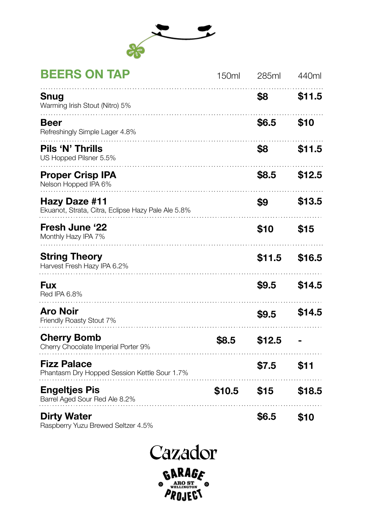

## **BEERS ON TAP**

| BEEKS UN TAP                                                        | 150ml  | 285ml  | 440ml  |
|---------------------------------------------------------------------|--------|--------|--------|
| Snug<br>Warming Irish Stout (Nitro) 5%                              |        | \$8    | \$11.5 |
| Beer<br>Refreshingly Simple Lager 4.8%                              |        | \$6.5  | \$10   |
| Pils 'N' Thrills<br>US Hopped Pilsner 5.5%                          |        | \$8    | \$11.5 |
| <b>Proper Crisp IPA</b><br>Nelson Hopped IPA 6%                     |        | \$8.5  | \$12.5 |
| Hazy Daze #11<br>Ekuanot, Strata, Citra, Eclipse Hazy Pale Ale 5.8% |        | \$9    | \$13.5 |
| Fresh June '22<br>Monthly Hazy IPA 7%                               |        | \$10   | \$15   |
| <b>String Theory</b><br>Harvest Fresh Hazy IPA 6.2%                 |        | \$11.5 | \$16.5 |
| Fux<br>Red IPA 6.8%                                                 |        | \$9.5  | \$14.5 |
| Aro Noir<br>Friendly Roasty Stout 7%                                |        | \$9.5  | \$14.5 |
| <b>Cherry Bomb</b><br>Cherry Chocolate Imperial Porter 9%           | \$8.5  | \$12.5 |        |
| <b>Fizz Palace</b><br>Phantasm Dry Hopped Session Kettle Sour 1.7%  |        | \$7.5  | \$11   |
| <b>Engeltjes Pis</b><br>Barrel Aged Sour Red Ale 8.2%               | \$10.5 | \$15   | \$18.5 |
| <b>Dirty Water</b><br>Raspberry Yuzu Brewed Seltzer 4.5%            |        | \$6.5  | \$10   |

Cazador **GARAGE**